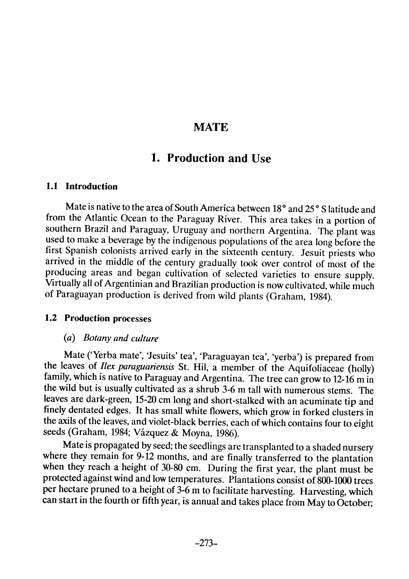## **MATE**

## 1. Production and Use

## 1.1 Introduction

Mate is native to the area of South America between 18° and 25° S latitude and from the Atlantic Ocean to the Paraguay River. This area takes in a portion of southern Brazil and Paraguay, Uruguay and northern Argentina. The plant was used to make a beverage by the indigenous populations of the area long before the first Spanish colonists arrived early in the sixteenth century. Jesuit priests who arrived in the middle of the century gradually took over control of most of the producing areas and began cultivation of selected varieties to ensure supply. Virtually aIl of Argentinian and Brazilian production is now cultivated, while much of Paraguayan production is derived from wild plants (Graham, 1984).

#### 1.2 Production processes

## (a) Botany and culture

Mate ('Yerba mate', 'Jesuits' tea', 'Paraguayan tea', 'yerba') is prepared from the leaves of Ilex paraguariensis St. Hil, a member of the Aquifoliaceae (holly) family, which is native to Paraguay and Argentina. The tree can grow to 12-16 m in the wild but is usually cultivated as a shrub 3-6 m tall with numerous stems. The leaves are dark-green, 15-20 cm long and short-stalked with an acuminate tip and finely dentated edges. It has small white flowers, which grow in forked clusters in the axils of the leaves, and violet-black berries, each ofwhich contains four to eight seeds (Graham, 1984; Vázquez & Moyna, 1986).

Mate is propagated by seed; the seedlings are transplanted to a shaded nursery where they remain for 9-12 months, and are finally transferred to the plantation when they reach a height of 30-80 cm. During the first year, the plant must be protected against wind and low temperatures. Plantations consist of 800-1000 trees per hectare pruned to a height of 3-6 m to facilitate harvesting. Harvesting, which can start in the fourth or fifth year, is annual and takes place from May to October;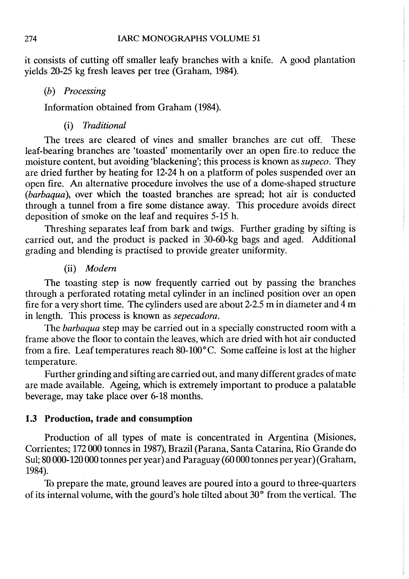it consists of cutting off smaller leafy branches with a knife. A good plantation yields 20-25 kg fresh leaves per tree (Graham, 1984).

#### (b) Processing

Information obtained from Graham (1984).

#### (i) Traditional

The trees are cleared of vines and smaller branches are cut off. These leaf-bearing branches are 'toasted' momentarily over an open fire to reduce the moisture content, but avoiding 'blackening'; this process is known as supeco. They are dried further by heating for 12-24 h on a platform of poles suspended over an open fire. An alternative procedure involves the use of a dome-shaped structure (barbaqua), over which the toasted branches are spread; hot air is conducted through a tunnel from a fire sorne distance away. This procedure avoids direct deposition of smoke on the leaf and requires 5- 15 h.

Threshing separates leaf from bark and twigs. Further grading by sifting is carried out, and the product is packed in 30-60-kg bags and aged. Additional grading and blending is practised ta provide greater uniformity.

## (ii) Modem

The toasting step is now frequently carried out by passing the branches through a perforated rotating metal cylinder in an inclined position over an open fire for a very short time. The cylinders used are about 2-2.5 m in diameter and  $\overline{4}$  m in length. This process is known as sepecadora.

The barbaqua step may be carried out in a specially constructed room with a frame above the floor to contain the leaves, which are dried with hot air conducted from a fire. Leaf temperatures reach  $80-100^{\circ}$ C. Some caffeine is lost at the higher temperature.

Further grinding and sifting are carried out, and many different grades of mate are made available. Ageing, which is extremely important to produce a palatable beverage, may take place over 6-18 months.

#### 1.3 Production, trade and consumption

Production of all types of mate is concentrated in Argentina (Misiones, Corrientes; 172 000 tonnes in 1987), Brazil (Parana, Santa Catarina, Rio Grande do Sul; 80000-120000 tonnes per year) and Paraguay (60000 tonnes per year) (Graham, 1984).

To prepare the mate, ground leaves are poured into a gourd to three-quarters of its internal volume, with the gourd's hole tilted about  $30^{\circ}$  from the vertical. The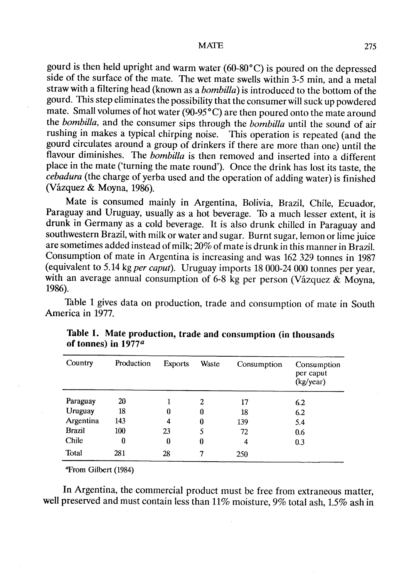gourd is then held upright and warm water (60-80°C) is poured on the depressed side of the surface of the mate. The wet mate swells within 3-5 min, and a metal straw with a filtering head (known as a *bombilla*) is introduced to the bottom of the gourd. This step eliminates the possibility that the consumer will suck up powdered mate. Small volumes of hot water  $(90-95<sup>o</sup>C)$  are then poured onto the mate around the bombilla, and the consumer sips through the bombilla until the sound of air rushing in makes a typical chirping noise. This operation is repeated (and the gourd circulates around a group of drinkers if there are more than one) until the flavour diminishes. The  $\overrightarrow{hombilla}$  is then removed and inserted into a different place in the mate ('turning the mate round). Once the drink has lost its taste, the cebadura (the charge of yerba used and the operation of adding water) is finished (Vázquez & Moyna, 1986).

Mate is consumed mainly in Argentina, Bolivia, Brazil, Chile, Ecuador, Paraguay and Uruguay, usually as a hot beverage. To a much lesser extent, it is drunk in Germany as a cold beverage. It is also drunk chiled in Paraguay and southwestern Brazil, with milk or water and sugar. Burnt sugar, lemon or lime juice are sometimes added instead of milk; 20% of mate is drunk in this manner in BraziL. Consumption of mate in Argentina is increasing and was 162 329 tonnes in 1987 (equivalent to 5.14 kg per caput). Uruguay imports 18 000-24 000 tonnes per year, with an average annual consumption of 6-8 kg per person (Vázquez & Moyna, 1986).

Table 1 gives data on production, trade and consumption of mate in South America in 1977.

| Country       | Production | <b>Exports</b> | Waste            | Consumption | Consumption<br>per caput<br>(kg/year) |
|---------------|------------|----------------|------------------|-------------|---------------------------------------|
| Paraguay      | 20         |                | 2                | 17          | 6.2                                   |
| Uruguay       | 18         | $\bf{0}$       | $\boldsymbol{0}$ | 18          | 6.2                                   |
| Argentina     | 143        | 4              | 0                | 139         | 5.4                                   |
| <b>Brazil</b> | 100        | 23             | 5                | 72          | 0.6                                   |
| Chile         | 0          | $\bf{0}$       | $\boldsymbol{0}$ | 4           | 0.3                                   |
| <b>Total</b>  | 281        | 28             | 7                | 250         |                                       |

| Table 1. Mate production, trade and consumption (in thousands |  |  |
|---------------------------------------------------------------|--|--|
| of tonnes) in 1977 <sup>a</sup>                               |  |  |

**Trom Gilbert (1984)** 

In Argentina, the commercial product must be free from extraneous matter, well preserved and must contain less than 11% moisture, 9% total ash, 1.5% ash in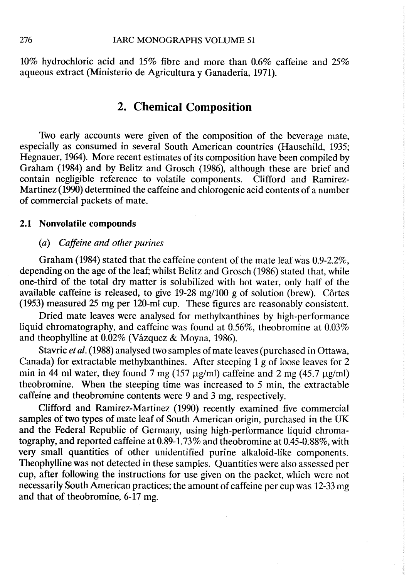10% hydrochloric acid and 15% fibre and more than 0.6% caffeine and 25% aqueous extract (Ministerio de Agricultura y Ganadería, 1971).

## 2. Chemical Composition

Two early accounts were given of the composition of the beverage mate, especially as consumed in several South American countries (Hauschild, 1935; Hegnauer, 1964). More recent estimates of its composition have been compiled by Graham (1984) and by Belitz and Grosch (1986), although these are brief and contain negligible reference to volatile components. Clifford and Ramirez-Martinez (199) determined the caffeine and chlorogenic acid contents of a number of commercial packets of mate.

#### 2.1 Nonvolatile compounds

#### (a) Caffeine and other purines

Graham (1984) stated that the caffeine content of the mate leaf was 0.9-2.2%, depending on the age of the leaf; whilst Belitz and Grosch (1986) stated that, while one-third of the total dry matter is solubilized with hot water, only half of the available caffeine is released, to give 19-28 mg/l00 g of solution (brew). Cârtes (1953) measured 25 mg per 120-ml cup. These figures are reasonably consistent.

Dried mate leaves were analysed for methylxanthines by high-performance liquid chromatography, and caffeine was found at 0.56%, theobromine at 0.03% and theophyllne at 0.02% (Vázquez & Moyna, 1986).

Stavric *et al*. (1988) analysed two samples of mate leaves (purchased in Ottawa, Canada) for extractable methylxanthines. After steeping 1 g of loose leaves for 2 min in 44 ml water, they found 7 mg (157  $\mu$ g/ml) caffeine and 2 mg (45.7  $\mu$ g/ml) theobromine. When the steeping time was increased to 5 min, the extractable caffeine and theobromine contents were 9 and 3 mg, respectively.

Clifford and Ramirez-Martinez (1990) recently examined five commercial samples of two types of mate leaf of South American origin, purchased in the UK and the Federal Republic of Germany, using high-performance liquid chromatography, and reported caffeine at  $0.89$ -1.73% and theobromine at  $0.45$ - $0.88\%$ , with very small quantities of other unidentified purine alkaloid-like components. Theophylline was not detected in these samples. Quantities were also assessed per cup, after following the instructions for use given on the packet, which were not necessarily South American practices; the amount of caffeine per cup was 12-33 mg and that of theobromine, 6-17 mg.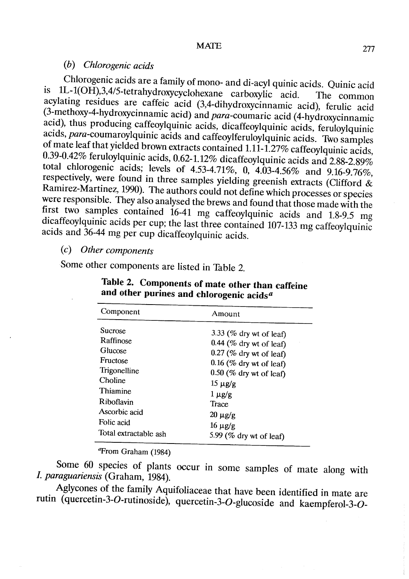#### (h) Ch/orogenic acids

Chlorogenic acids are a family of mono- and di-acyl quinic acids. Quinic acid is lL-l(OH),3,4/5-tetrahydroxycyclohexane carboxylic acid. The common acylating residues are caffeic acid (3,4-dihydroxycinnamic acid), ferulic acid (3-methoxy-4-hydroxycinnamic acid) and para-coumaric acid (4-hydroxycinnamic acid), thus producing caffeoylquinic acids, dicaffeoylquinic acids, feruloylquinic acids, para-coumaroylquinic acids and caffeoylferuloylquinic acids. Two samples of mate leaf that yielded brown extracts contained 1.11-1.27% caffeoylquinic acids, 0.39-0.42% feruloylquinic acids, 0.62-1.12% dicaffeoylquinic acids and 2.88-2.89% total chlorogenic acids; levels of 4.53-4.71%, 0, 4.03-4.56% and 9.16-9.76%, respectively, were found in three samples yielding greenish extracts (Clifford  $\&$ Ramirez-Martinez, 1990). The authors could not define which processes or species were responsible. They also analysed the brews and found that those made with the first two samples contained 16-41 mg caffeoylquinic acids and 1.8-9.5 mg dicaffeoylquinic acids per cup; the last three contained 107-133 mg caffeoylquinic acids and 36-44 mg per cup dicaffeoylquinic acids.

## (c) Other components

Some other components are listed in Table 2.

| Component             | Amount                     |  |  |
|-----------------------|----------------------------|--|--|
| Sucrose               | 3.33 (% dry wt of leaf)    |  |  |
| Raffinose             | $0.44$ (% dry wt of leaf)  |  |  |
| Glucose               | $0.27$ (% dry wt of leaf)  |  |  |
| Fructose              | $0.16$ (% dry wt of leaf)  |  |  |
| Trigonelline          | $0.50$ (% dry wt of leaf)  |  |  |
| Choline               | $15 \mu g/g$               |  |  |
| Thiamine              | $1 \mu$ g/g                |  |  |
| Riboflavin            | Trace                      |  |  |
| Ascorbic acid         | $20 \mu g/g$               |  |  |
| Folic acid            | $16 \mu g/g$               |  |  |
| Total extractable ash | 5.99 ( $%$ dry wt of leaf) |  |  |

Table 2. Components of mate other than caffeine and other purines and chlorogenic acids<sup> $a$ </sup>

<sup>a</sup>From Graham (1984)

Some 60 species of plants occur in some samples of mate along with 1. paraguariensis (Graham, 1984).

Aglycones of the family Aquifoliaceae that have been identified in mate are rutin (quercetin-3-0-rutinoside), quercetin-3-0-glucoside and kaempferol-3-0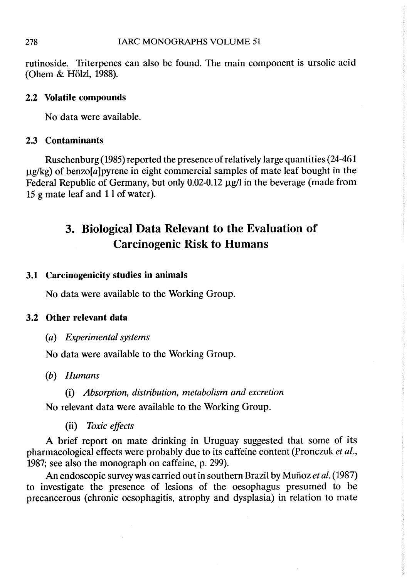rutinoside. Triterpenes can also be found. The main component is ursolic acid (Ohem & Hölzl, 1988).

## 2.2 Volatile compounds

No data were available.

## 2.3 Contaminants

Ruschenburg (1985) reported the presence of relatively large quantities (24-461  $\mu$ g/kg) of benzo[a]pyrene in eight commercial samples of mate leaf bought in the Federal Republic of Germany, but only  $0.02$ -0.12  $\mu$ g/I in the beverage (made from 15 g mate leaf and 1 lof water).

# 3. Biological Data Relevant to the Evaluation of Carcinogenic Risk to Humans

## 3.1 Carcinogenicity studies in animaIs

No data were available to the Working Group.

## 3.2 Other relevant data

(a) Experimental systems

No data were available to the Working Group.

- (b) Humans
	- (i) Absorption, distribution, metabolism and excretion

No relevant data were available to the Working Group.

(ii) Toxic effects

A brief report on mate drinking in Uruguay suggested that some of its pharmacological effects were probably due to its caffeine content (Pronczuk et al., 1987; see also the monograph on caffeine, p. 299).

An endoscopic survey was carried out in southern Brazil by Muñoz et al. (1987) to investigate the presence of lesions of the oesophagus presumed to be precancerous (chronic oesophagitis, atrophy and dysplasia) in relation ta mate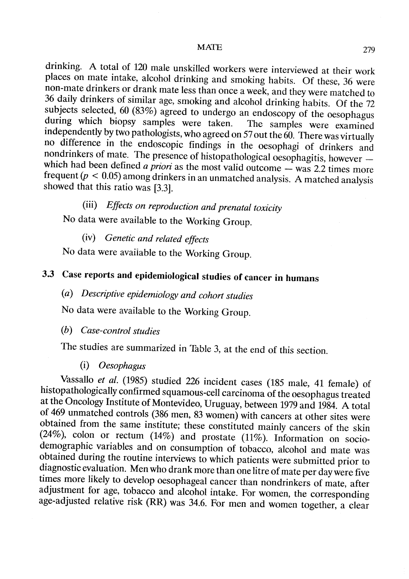drinking. A total of 120 male unskiled workers were interviewed at their work places on mate intake, alcohol drinking and smoking habits. Of these, 36 were non-mate drinkers or drank mate less than once a week, and they were matched to 36 daily drinkers of similar age, smoking and alcohol drinking habits. Of the 72 subjects selected, 60 (83%) agreed to undergo an endoscopy of the oesophagus during which biopsy samples were taken. The samples were examined independently by two pathologists, who agreed on 57 out the  $60$ . There was virtually no difference in the endoscopic findings in the oesophagi of drinkers and nondrinkers of mate. The presence of histopathological oesophagitis, however which had been defined a priori as the most valid outcome  $-$  was 2.2 times more frequent ( $p < 0.05$ ) among drinkers in an unmatched analysis. A matched analysis showed that this ratio was (3.3).

(iii) Effects on reproduction and prenatal toxicity No data were available to the Working Group.

(iv) Genetic and related effects

No data were available to the Working Group.

# 3.3 Case reports and epidemiological studies of cancer in humans

(a) Descriptive epidemiology and cohort studies

No data were available to the Working Group.

(h) Case-control studies

The studies are summarized in Table 3, at the end of this section.

(i) Oesophagu

Vassallo et al. (1985) studied 226 incident cases (185 male, 41 female) of histopathologically confirmed squamous-cell carcinoma of the oesophagus treated at the Oncology Institute of Montevideo, Uruguay, between 1979 and 1984. A total of 469 unmatched controls (386 men, 83 women) with cancers at other sites were obtained from the same institute; these constituted mainly cancers of the skin (24%), colon or rectum (14%) and prostate (11%). Information on sociodemographic variables and on consumption of tobacco, alcohol and mate was obtained during the routine interviews to which patients were submitted prior to diagnostic evaluation. Men who drank more than one litre of mate per day were five times more likely to develop oesophageal cancer than nondrinkers of mate, after adjustment for age, tobacco and alcohol intake. For women, the corresponding age-adjusted relative risk (RR) was 34.6. For men and women together, a clear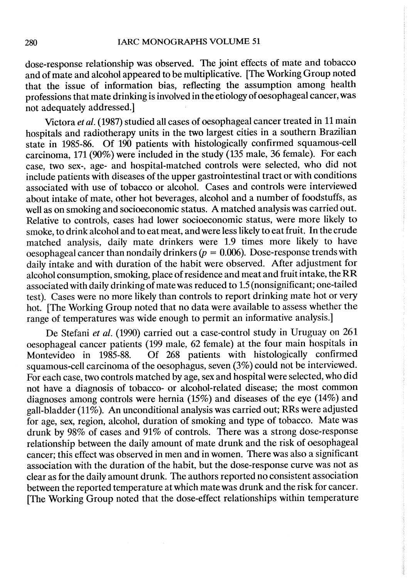dose-response relationship was observed. The joint effects of mate and tobacco and of mate and alcohol appeared to be multiplicative. [The Working Group noted that the issue of information bias, reflecting the assumption among health professions that mate drinking is involved in the etiology of oesophageal cancer, was not adequately addressed.)

Victora et al. (1987) studied all cases of oesophageal cancer treated in 11 main hospitals and radiotherapy units in the two largest cities in a southern Brazilian state in 1985-86. Of 190 patients with histologically confirmed squamous-cell carcinoma, 171 (90%) were included in the study (135 male, 36 female). For each case, two sex-, age- and hospital-matched controls were selected, who did not include patients with diseases of the upper gastrointestinal tract or with conditions associated with use of tobacco or a1cohoL. Cases and controls were interviewed about intake of mate, other hot beverages, a1cohol and a number of foodstuffs, as well as on smoking and socioeconomic status. A matched analysis was carried out. Relative to controls, cases had lower socioeconomic status, were more likely to smoke, to drink alcohol and to eat meat, and were less likely to eat fruit. In the crude matched analysis, daily mate drinkers were 1.9 times more likely to have oesophageal cancer than nondaily drinkers ( $p = 0.006$ ). Dose-response trends with daily intake and with duration of the habit were observed. After adjustment for alcohol consumption, smoking, place of residence and meat and fruit intake, the RR associated with daily drinking of mate was reduced to 1.5 (nonsignificant; one-tailed test). Cases were no more likely than controls to report drinking mate hot or very hot. (The Working Group noted that no data were available to assess whether the range of temperatures was wide enough to permit an informative analysis.)

De Stefani et al. (1990) carried out a case-control study in Uruguay on 261 oesophageal cancer patients (199 male, 62 female) at the four main hospitals in<br>Montevideo in 1985-88. Of 268 patients with histologically confirmed Of 268 patients with histologically confirmed squamous-cell carcinoma of the oesophagus, seven (3%) could not be interviewed. For each case, two controls matched by age, sex and hospital were selected, who did not have a diagnosis of tobacco- or alcohol-related disease; the most common diagnoses among controls were hernia (15%) and diseases of the eye (14%) and gall-bladder (11%). An unconditional analysis was carried out; RRs were adjusted for age, sex, region, a1cohol, duration of smoking and type of tobacco. Mate was drunk by 98% of cases and 91% of controls. There was a strong dose-response relationship between the daily amount of mate drunk and the risk of oesophageal cancer; this effect was observed in men and in women. There was also a significant association with the duration of the habit, but the dose-response curve was not as clear as for the daily amount drunk. The authors reported no consistent association between the reported temperature at which mate was drunk and the risk for cancer. (The Working Group noted that the dose-effect relationships within temperature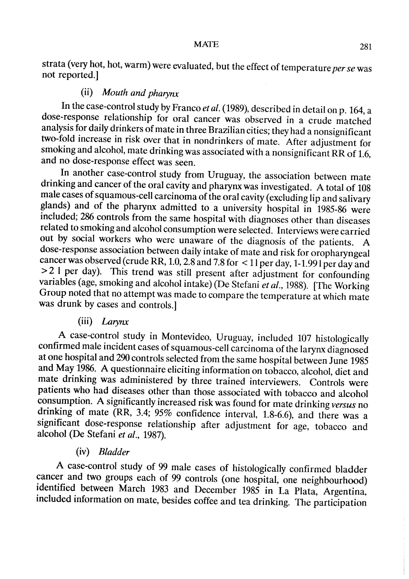strata (very hot, hot, warm) were evaluated, but the effect of temperature per se was not reported.)

## (ii) Mouth and pharynx

In the case-control study by Franco et al. (1989), described in detail on p. 164, a dose-response relationship for oral cancer was observed in a crude matched analysis for daily drinkers of mate in three Brazilian cities; they had a nonsignificant two-fold increase in risk over that in nondrinkers of mate. After adjustment for smoking and alcohol, mate drinking was associated with a nonsignificant RR of 1.6, and no dose-response effect was seen.

ln another case-control study from Uruguay, the association between mate drinking and cancer of the oral cavity and pharynx was investigated. A total of 108 male cases of squamous-cell carcinoma of the oral cavity (excluding lip and salivary glands) and of the pharynx admitted to a university hospital in 1985-86 were included; 286 controls from the same hospital with diagnoses other than diseases related to smoking and a1cohol consumption were selected. Interviews were carried out by social workers who were unaware of the diagnosis of the patients. A dose-response association between daily intake of mate and risk for oropharyngeal cancer was observed (crude RR, 1.0, 2.8 and 7.8 for  $\lt 11$  per day, 1-1.991 per day and ~ 2 1 per day). This trend was stil present after adjustment for confounding variables (age, smoking and alcohol intake) (De Stefani et al., 1988). [The Working Group noted that no attempt was made to compare the temperature at which mate was drunk by cases and controls.]

## (iii) Larynx

A case-control study in Montevideo, Uruguay, included 107 histologically confirmed male incident cases of squamous-cell carcinoma of the larynx diagnosed at one hospital and 290 controls selected from the same hospital between June 1985 and May 1986. A questionnaire eliciting information on tobacco, a1cohol, diet and mate drinking was administered by three trained interviewers. Controls were patients who had diseases other than those associated with tobacco and alcohol consumption. A significantly increased risk was found for mate drinking versus no drinking of mate (RR, 3.4; 95% confidence interval, 1.8-6.6), and there was a significant dose-response relationship after adjustment for age, tobacco and alcohol (De Stefani et al., 1987).

#### (iv) Bladder

A case-control study of 99 male cases of histologically confirmed bladder cancer and two groups each of 99 controls (one hospital, one neighbourhood) identified between March 1983 and December 1985 in La Plata, Argentina, included information on mate, besides coffee and tea drinking. The participation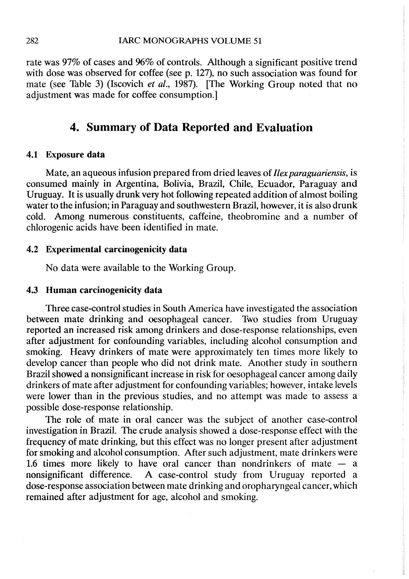rate was 97% of cases and 96% of controls. Although a significant positive trend with dose was observed for coffee (see p. 127), no such association was found for mate (see Table 3) (Iscovich *et al.*, 1987). [The Working Group noted that no adjustment was made for coffee consumption.

## 4. Summary of Data Reported and Evaluation

#### 4.1 Exposure data

Mate, an aqueous infusion prepared from dried leaves of Ilex paraguariensis, is consumed mainly in Argentina, Bolivia, Brazil, Chile, Ecuador, Paraguay and Uruguay. It is usually drunk very hot following repeated addition of almost boiling water to the infusion; in Paraguay and southwestern Brazil, however, it is also drunk cold. Among numerous constituents, caffeine, theobromine and a number of chlorogenic acids have been identified in mate.

#### 4.2 Experimental carcinogenicity data

No data were available to the Working Group.

#### 4.3 Human carcinogenicity data

Three case-control studies in South America have investigated the association between mate drinking and oesophageal cancer. Two studies from Uruguay reported an increased risk among drinkers and dose-response relationships, even after adjustment for confounding variables, including alcohol consumption and smoking. Heavy drinkers of mate were approximately ten times more likely to develop cancer than people who did not drink mate. Another study in southern Brazil showed a nonsignificant increase in risk for oesophageal cancer among daily drinkers of mate after adjustment for confounding variables; however, intake levels were lower than in the previous studies, and no attempt was made to assess a possible dose-response relationship.

The role of mate in oral cancer was the subject of another case-control investigation in Brazil. The crude analysis showed a dose-response effect with the frequency of mate drinking, but this effect was no longer present after adjustment for smoking and alcohol consumption. After such adjustment, mate drinkers were 1.6 times more likely to have oral cancer than nondrinkers of mate  $-$  a nonsignificant difference. A case-control study from Uruguay reported a dose-response association between mate drinking and oropharyngeal cancer, which remained after adjustment for age, alcohol and smoking.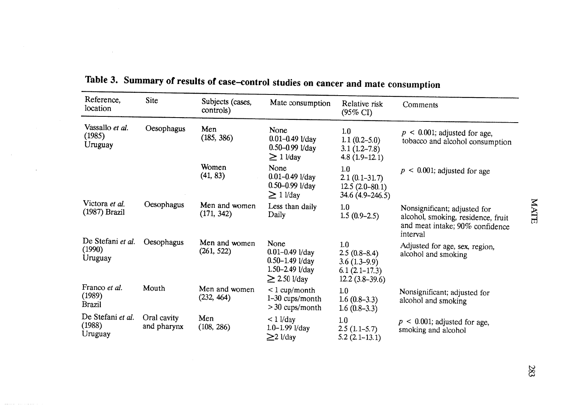| Reference,                               | Site                       |                               |                                                                                                |                                                                                |                                                                                                                   |
|------------------------------------------|----------------------------|-------------------------------|------------------------------------------------------------------------------------------------|--------------------------------------------------------------------------------|-------------------------------------------------------------------------------------------------------------------|
| location                                 |                            | Subjects (cases,<br>controls) | Mate consumption                                                                               | Relative risk<br>$(95\% \text{ CI})$                                           | Comments                                                                                                          |
| Vassallo et al.<br>(1985)<br>Uruguay     | Oesophagus                 | Men<br>(185, 386)             | None<br>$0.01 - 0.49$ l/day<br>$0.50 - 0.99$ l/day<br>$\geq$ 1 $1$ /day                        | 1.0<br>$1.1(0.2-5.0)$<br>$3.1(1.2-7.8)$<br>$4.8(1.9-12.1)$                     | $p < 0.001$ ; adjusted for age,<br>tobacco and alcohol consumption                                                |
|                                          |                            | Women<br>(41, 83)             | None<br>$0.01 - 0.49$ l/day<br>$0.50 - 0.99$ l/day<br>$\geq$ 1 $1$ /day                        | 1.0<br>$2.1(0.1-31.7)$<br>$12.5(2.0-80.1)$<br>$34.6(4.9 - 246.5)$              | $\leq$ 0.001; adjusted for age<br>$\boldsymbol{p}$                                                                |
| Victora et al.<br>(1987) Brazil          | Oesophagus                 | Men and women<br>(171, 342)   | Less than daily<br>Daily                                                                       | 1.0<br>$1.5(0.9-2.5)$                                                          | Nonsignificant; adjusted for<br>alcohol, smoking, residence, fruit<br>and meat intake; 90% confidence<br>interval |
| De Stefani et al.<br>(1990)<br>Uruguay   | Oesophagus                 | Men and women<br>(261, 522)   | None<br>$0.01 - 0.49$ l/day<br>$0.50 - 1.49$ l/day<br>$1.50 - 2.49$ l/day<br>$\geq$ 2.50 l/day | 1.0<br>$2.5(0.8-8.4)$<br>$3.6(1.3-9.9)$<br>$6.1(2.1-17.3)$<br>$12.2(3.8-39.6)$ | Adjusted for age, sex, region,<br>alcohol and smoking                                                             |
| Franco et al.<br>(1989)<br><b>Brazil</b> | Mouth                      | Men and women<br>(232, 464)   | $< 1$ cup/month<br>$1-30$ cups/month<br>$>$ 30 cups/month                                      | 1.0<br>$1.6(0.8-3.3)$<br>$1.6(0.8-3.3)$                                        | Nonsignificant; adjusted for<br>alcohol and smoking                                                               |
| De Stefani et al.<br>(1988)<br>Uruguay   | Oral cavity<br>and pharynx | Men<br>(108, 286)             | $< 1$ l/day<br>$1.0 - 1.99$ $1$ /day<br>$\geq$ 2 l/day                                         | 1.0<br>$2.5(1.1-5.7)$<br>$5.2(2.1-13.1)$                                       | $<$ 0.001; adjusted for age,<br>$\boldsymbol{D}$<br>smoking and alcohol                                           |

Table 3. Summary of results of case-control studies on cancer and mate consumption

 $\sim 100$ 

 $\sim 100$ 

 $\sim$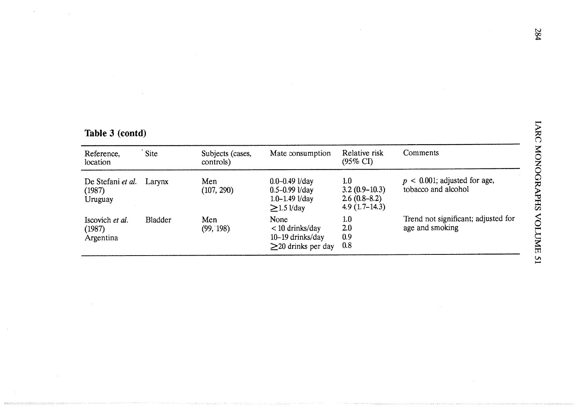| Reference,<br>location                 | Site           | Subjects (cases,<br>controls) | Mate consumption                                                                      | Relative risk<br>$(95\% \text{ CI})$                        | Comments                                               |
|----------------------------------------|----------------|-------------------------------|---------------------------------------------------------------------------------------|-------------------------------------------------------------|--------------------------------------------------------|
| De Stefani et al.<br>(1987)<br>Uruguay | Larynx         | Men<br>(107, 290)             | $0.0 - 0.49$ l/day<br>$0.5 - 0.99$ l/day<br>$1.0 - 1.49$ $1$ /day<br>$\geq$ 1.5 l/day | 1.0<br>$3.2(0.9-10.3)$<br>$2.6(0.8-8.2)$<br>$4.9(1.7-14.3)$ | $p < 0.001$ ; adjusted for age,<br>tobacco and alcohol |
| Iscovich et al.<br>(1987)<br>Argentina | <b>Bladder</b> | Men<br>(99, 198)              | None<br>$<$ 10 drinks/day<br>10-19 drinks/day<br>$\geq$ 20 drinks per day             | 1.0<br>2.0<br>0.9<br>0.8                                    | Trend not significant; adjusted for<br>age and smoking |

 $\lambda$ 

# Table 3 (contd)

 $\sim$ 

 $\sim$ 

 $\bar{u}$ 

 $\mathcal{L}_{\rm{in}}$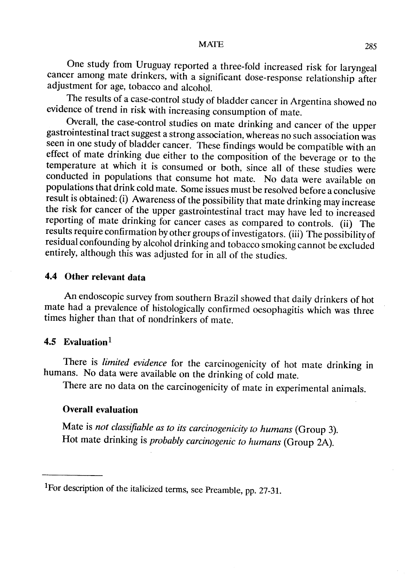MATE 285

One study from Uruguay reported a three-fold increased risk for laryngeal cancer among mate drinkers, with a significant dose-response relationship after adjustment for age, tobacco and alcohol.

The results of a case-control study of bladder cancer in Argentina showed no evidence of trend in risk with increasing consumption of mate.

Overall, the case-control studies on mate drinking and cancer of the upper gastrointestinal tract suggest a strong association, whereas no such association was seen in one study of bladder cancer. These findings would be compatible with an effect of mate drinking due either to the composition of the beverage or to the temperature at which it is consumed or both, since aIl of these studies were conducted in populations that consume hot mate. No data were available on populations that drink cold mate. Sorne issues must be resolved before a conclusive result is obtained: (i) Awareness of the possibility that mate drinking may increase the risk for cancer of the upper gastrointestinal tract may have led to increased reporting of mate drinking for cancer cases as compared to controls. (ii) The results require confirmation by other groups of investigators. (iii) The possibility of residual confounding by alcohol drinking and tobacco smoking cannot be excluded entirely, although this was adjusted for in all of the studies.

## 4.4 Other relevant data

An endoscopic survey from southern Brazil showed that daily drinkers of hot mate had a prevalence of histologically confirmed oesophagitis which was three times higher than that of nondrinkers of mate.

## 4.5 Evaluation $<sup>1</sup>$ </sup>

There is *limited evidence* for the carcinogenicity of hot mate drinking in humans. No data were available on the drinking of cold mate.

There are no data on the carcinogenicity of mate in experimental animals.

## Overall evaluation

Mate is not classifiable as to its carcinogenicity to humans (Group 3). Hot mate drinking is probably carcinogenic to humans (Group 2A).

IFor description of the italicized terms, see Preamble, pp. 27-31.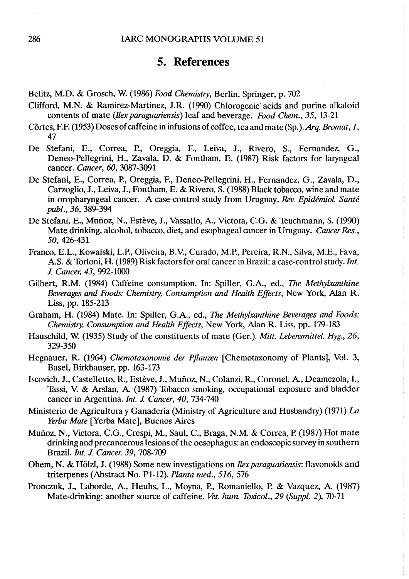## 5. References

- Belitz, M.D. & Grosch, W. (1986) Food Chemistry, Berlin, Spriger, p. 702
- Clifford, M.N. & Ramirez-Martinez, J.R. (1990) Chlorogenic acids and purine alkaloid contents of mate (*Ilex paraguariensis*) leaf and beverage. Food Chem., 35, 13-21
- Côrtes, F.F. (1953) Doses of caffeine in infusions of coffee, tea and mate (Sp.). Arg. Bromat,  $1$ , 47
- De Stefani, E., Correa, P., Oreggia, F., Leiva, J., Rivero, S., Fernandez, G., Deneo-Pellegrini, H., Zavala, D. & Fontham, E. (1987) Risk factors for laryngeal cancer. Cancer, 60, 3087-3091
- De Stefani, E., Correa, P., Oreggia, F., Deneo-Pellegrini, H., Fernandez, G., Zavala, D., Carzoglio, J., Leiva, J., Fontham, E. & Rivero, S. (1988) Black tobacco, wine and mate in oropharyngeal cancer. A case-control study from Uruguay. Rev. Epidémiol. Santé publ., 36, 389-394
- De Stefani, E., Muñoz, N., Estève, J., Vassallo, A., Victora, C.G. & Teuchmann, S. (1990) Mate drinking, alcohol, tobacco, diet, and esophageal cancer in Uruguay. Cancer Res., 50,426-431
- Franco, E.L., Kowalski, L.P., Oliveira, B.V., Curado, M.P., Pereira, R.N., Silva, M.E., Fava, A.S. & Torloni, H. (1989) Risk factors for oral cancer in Brazil: a case-control study. Int. J. Cancer, 43, 992-1000
- Gilbert, R.M. (1984) Caffeine consumption. ln: Spiler, G.A., ed., The Methylxanthine Beverages and Foods: Chemistry, Consumption and Health Effects, New York, Alan R. Liss, pp. 185-213
- Graham, H. (1984) Mate. In: Spiller, G.A., ed., The Methylxanthine Beverages and Foods: Chemistry, Consumption and Health Effects, New York, Alan R. Liss, pp. 179-183
- Hauschild, W. (1935) Study of the constituents of mate (Ger.). Mitt. Lebensmittel. Hyg., 26, 329-350
- Hegnauer, R. (1964) Chemotaxonomie der Pflanzen [Chemotaxonomy of Plants], Vol. 3, Basel, Birkhauser, pp. 163-173
- Iscovièh, J., Castelletto, R., Estève, J., Muñoz, N., Colanzi, R., Coronel, A., Deamezola, 1., Thssi, v: & Arslan, A. (1987) Tobacco smoking, ocupational exposure and bladder cancer in Argentina. Int. J. Cancer, 40, 734-740
- Ministerio de Agricultura y Ganadería (Ministry of Agriculture and Husbandry) (1971)  $La$ Yerba Mate [Yerba Mate], Buenos Aires
- Muñoz, N., Victora, C.G., Crespi, M., Saul, C., Braga, N.M. & Correa, P. (1987) Hot mate drinking and precancerous lesions of the oesophagus: an endoscopic survey in southern Brazil. *Int. J. Cancer*, 39, 708-709
- Ohem, N. & Hölzl, J. (1988) Some new investigations on *Ilex paraguariensis*: flavonoids and triterpenes (Abstract No. PI-12). Planta med., 516, 576
- Pronczuk, J., Laborde, A., Heuhs, L., Moyna, P., Romaniello, P. & Vazquez, A. (1987) Mate-drinking: another source of caffeine. Vet. hum. Toxicol., 29 (Suppl. 2), 70-71